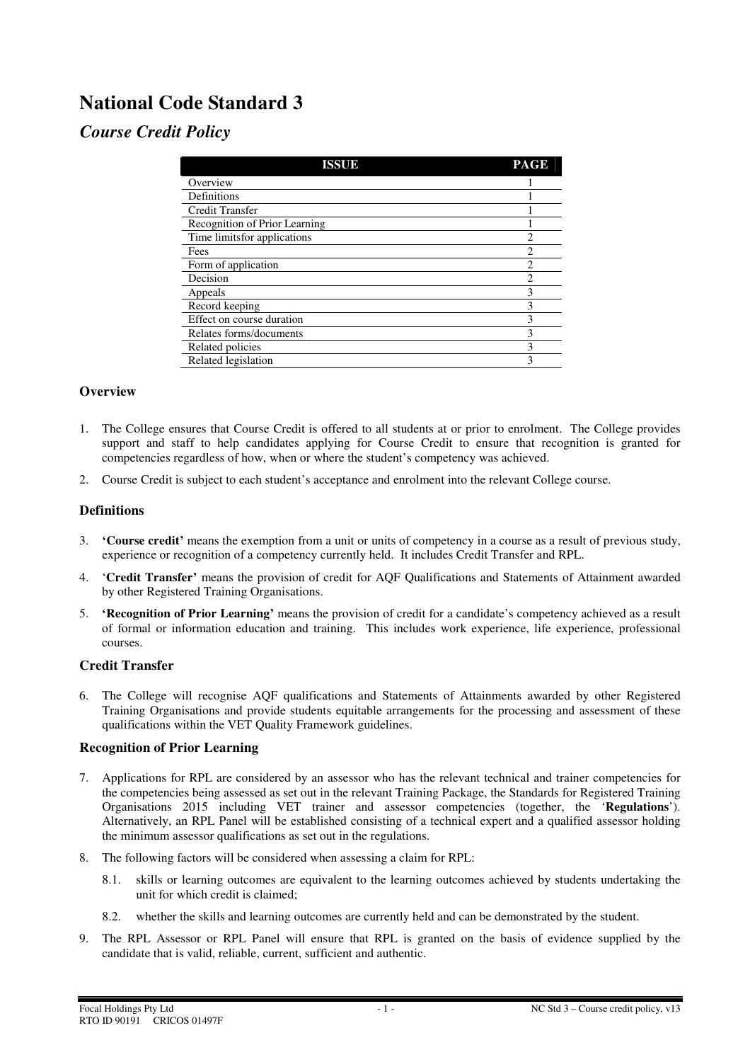# **National Code Standard 3**

## *Course Credit Policy*

| <b>ISSUE</b>                  | <b>PAGE</b>    |
|-------------------------------|----------------|
| Overview                      |                |
| Definitions                   |                |
| Credit Transfer               |                |
| Recognition of Prior Learning |                |
| Time limitsfor applications   | $\mathfrak{D}$ |
| Fees                          | $\mathfrak{D}$ |
| Form of application           | $\mathfrak{D}$ |
| Decision                      | $\overline{c}$ |
| Appeals                       | 3              |
| Record keeping                | ٩              |
| Effect on course duration     |                |
| Relates forms/documents       | 3              |
| Related policies              | 3              |
| Related legislation           | 3              |

## **Overview**

- 1. The College ensures that Course Credit is offered to all students at or prior to enrolment. The College provides support and staff to help candidates applying for Course Credit to ensure that recognition is granted for competencies regardless of how, when or where the student's competency was achieved.
- 2. Course Credit is subject to each student's acceptance and enrolment into the relevant College course.

## **Definitions**

- 3. **'Course credit'** means the exemption from a unit or units of competency in a course as a result of previous study, experience or recognition of a competency currently held. It includes Credit Transfer and RPL.
- 4. '**Credit Transfer'** means the provision of credit for AQF Qualifications and Statements of Attainment awarded by other Registered Training Organisations.
- 5. **'Recognition of Prior Learning'** means the provision of credit for a candidate's competency achieved as a result of formal or information education and training. This includes work experience, life experience, professional courses.

## **Credit Transfer**

6. The College will recognise AQF qualifications and Statements of Attainments awarded by other Registered Training Organisations and provide students equitable arrangements for the processing and assessment of these qualifications within the VET Quality Framework guidelines.

#### **Recognition of Prior Learning**

- 7. Applications for RPL are considered by an assessor who has the relevant technical and trainer competencies for the competencies being assessed as set out in the relevant Training Package, the Standards for Registered Training Organisations 2015 including VET trainer and assessor competencies (together, the '**Regulations**'). Alternatively, an RPL Panel will be established consisting of a technical expert and a qualified assessor holding the minimum assessor qualifications as set out in the regulations.
- 8. The following factors will be considered when assessing a claim for RPL:
	- 8.1. skills or learning outcomes are equivalent to the learning outcomes achieved by students undertaking the unit for which credit is claimed;
	- 8.2. whether the skills and learning outcomes are currently held and can be demonstrated by the student.
- 9. The RPL Assessor or RPL Panel will ensure that RPL is granted on the basis of evidence supplied by the candidate that is valid, reliable, current, sufficient and authentic.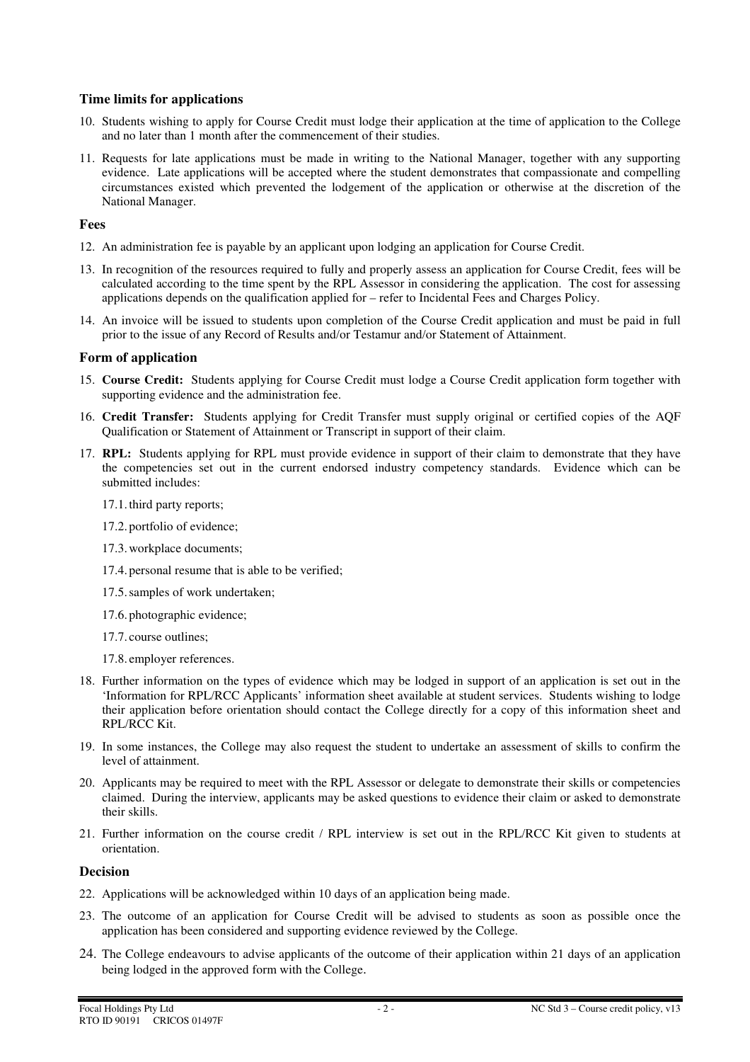#### **Time limits for applications**

- 10. Students wishing to apply for Course Credit must lodge their application at the time of application to the College and no later than 1 month after the commencement of their studies.
- 11. Requests for late applications must be made in writing to the National Manager, together with any supporting evidence. Late applications will be accepted where the student demonstrates that compassionate and compelling circumstances existed which prevented the lodgement of the application or otherwise at the discretion of the National Manager.

#### **Fees**

- 12. An administration fee is payable by an applicant upon lodging an application for Course Credit.
- 13. In recognition of the resources required to fully and properly assess an application for Course Credit, fees will be calculated according to the time spent by the RPL Assessor in considering the application. The cost for assessing applications depends on the qualification applied for – refer to Incidental Fees and Charges Policy.
- 14. An invoice will be issued to students upon completion of the Course Credit application and must be paid in full prior to the issue of any Record of Results and/or Testamur and/or Statement of Attainment.

## **Form of application**

- 15. **Course Credit:** Students applying for Course Credit must lodge a Course Credit application form together with supporting evidence and the administration fee.
- 16. **Credit Transfer:** Students applying for Credit Transfer must supply original or certified copies of the AQF Qualification or Statement of Attainment or Transcript in support of their claim.
- 17. **RPL:** Students applying for RPL must provide evidence in support of their claim to demonstrate that they have the competencies set out in the current endorsed industry competency standards. Evidence which can be submitted includes:
	- 17.1.third party reports;
	- 17.2. portfolio of evidence;
	- 17.3.workplace documents;
	- 17.4. personal resume that is able to be verified;
	- 17.5.samples of work undertaken;
	- 17.6. photographic evidence;
	- 17.7. course outlines;
	- 17.8. employer references.
- 18. Further information on the types of evidence which may be lodged in support of an application is set out in the 'Information for RPL/RCC Applicants' information sheet available at student services. Students wishing to lodge their application before orientation should contact the College directly for a copy of this information sheet and RPL/RCC Kit.
- 19. In some instances, the College may also request the student to undertake an assessment of skills to confirm the level of attainment.
- 20. Applicants may be required to meet with the RPL Assessor or delegate to demonstrate their skills or competencies claimed. During the interview, applicants may be asked questions to evidence their claim or asked to demonstrate their skills.
- 21. Further information on the course credit / RPL interview is set out in the RPL/RCC Kit given to students at orientation.

#### **Decision**

- 22. Applications will be acknowledged within 10 days of an application being made.
- 23. The outcome of an application for Course Credit will be advised to students as soon as possible once the application has been considered and supporting evidence reviewed by the College.
- 24. The College endeavours to advise applicants of the outcome of their application within 21 days of an application being lodged in the approved form with the College.